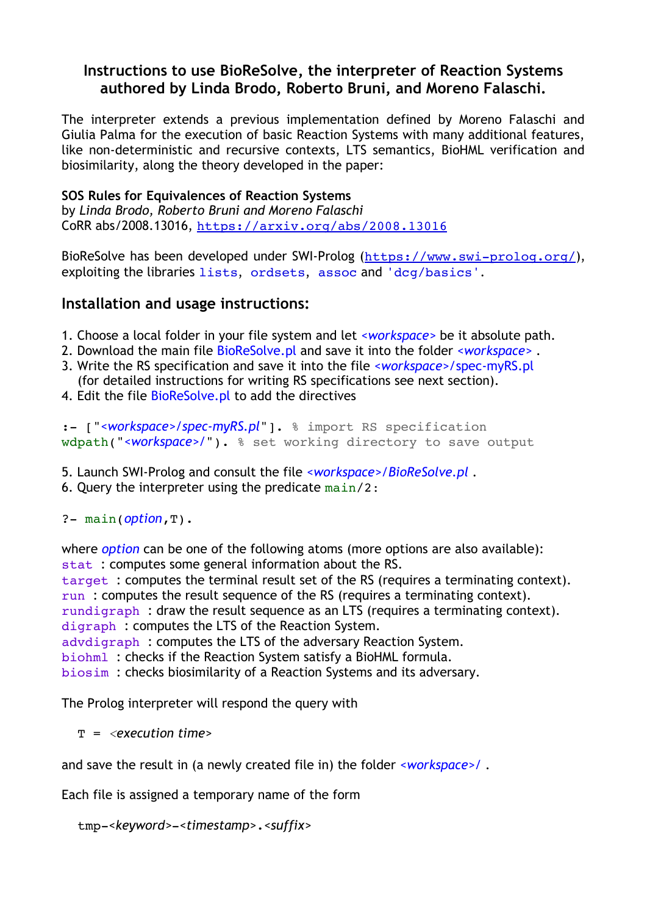### **Instructions to use BioReSolve, the interpreter of Reaction Systems authored by Linda Brodo, Roberto Bruni, and Moreno Falaschi.**

The interpreter extends a previous implementation defined by Moreno Falaschi and Giulia Palma for the execution of basic Reaction Systems with many additional features, like non-deterministic and recursive contexts, LTS semantics, BioHML verification and biosimilarity, along the theory developed in the paper:

#### **SOS Rules for Equivalences of Reaction Systems**

by *Linda Brodo, Roberto Bruni and Moreno Falaschi* CoRR abs/2008.13016, <https://arxiv.org/abs/2008.13016>

BioReSolve has been developed under SWI-Prolog (<https://www.swi-prolog.org/>), exploiting the libraries lists, ordsets, assoc and 'dcg/basics'.

### **Installation and usage instructions:**

- 1. Choose a local folder in your file system and let *<workspace>* be it absolute path.
- 2. Download the main file BioReSolve.pl and save it into the folder *<workspace>* .
- 3. Write the RS specification and save it into the file *<workspace>/*spec-myRS.pl (for detailed instructions for writing RS specifications see next section).
- 4. Edit the file **BioReSolve.pl** to add the directives

:- ["*<workspace>/spec-myRS.pl*"]. % import RS specification wdpath("*<workspace>/*"). % set working directory to save output

- 5. Launch SWI-Prolog and consult the file *<workspace>/BioReSolve.pl* .
- 6. Query the interpreter using the predicate  $main/2$ :

?- main(*option*,T).

where *option* can be one of the following atoms (more options are also available): stat : computes some general information about the RS. target : computes the terminal result set of the RS (requires a terminating context). run : computes the result sequence of the RS (requires a terminating context). rundigraph : draw the result sequence as an LTS (requires a terminating context). digraph : computes the LTS of the Reaction System. advdigraph : computes the LTS of the adversary Reaction System. biohml : checks if the Reaction System satisfy a BioHML formula.

biosim : checks biosimilarity of a Reaction Systems and its adversary.

The Prolog interpreter will respond the query with

T = *<execution time>*

and save the result in (a newly created file in) the folder *<workspace>/ .*

Each file is assigned a temporary name of the form

```
 tmp-<keyword>-<timestamp>.<suffix>
```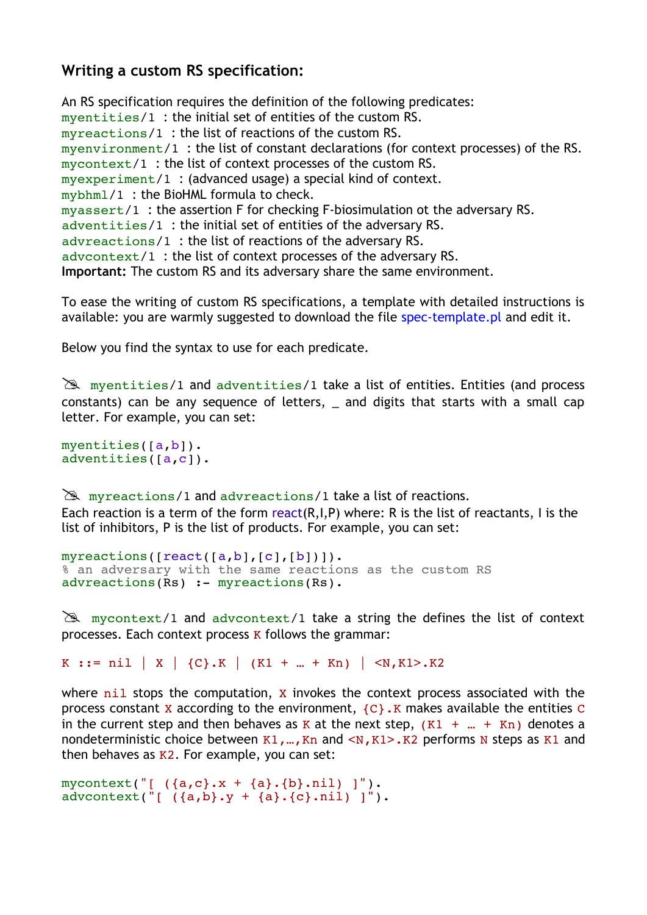# **Writing a custom RS specification:**

An RS specification requires the definition of the following predicates: myentities/1 : the initial set of entities of the custom RS. myreactions/1 : the list of reactions of the custom RS. myenvironment/1 : the list of constant declarations (for context processes) of the RS. mycontext/1 : the list of context processes of the custom RS. myexperiment/1 : (advanced usage) a special kind of context. mybhml/1 : the BioHML formula to check. myassert/1 : the assertion F for checking F-biosimulation ot the adversary RS. adventities/1 : the initial set of entities of the adversary RS. advreactions/1 : the list of reactions of the adversary RS. advcontext/1 : the list of context processes of the adversary RS. **Important:** The custom RS and its adversary share the same environment.

To ease the writing of custom RS specifications, a template with detailed instructions is available: you are warmly suggested to download the file spec-template.pl and edit it.

Below you find the syntax to use for each predicate.

 $\mathbb{R}$  myentities/1 and adventities/1 take a list of entities. Entities (and process constants) can be any sequence of letters, \_ and digits that starts with a small cap letter. For example, you can set:

```
myentities([a,b]).
adventities([a,c]).
```
 $\mathbb{R}$  myreactions/1 and advreactions/1 take a list of reactions. Each reaction is a term of the form react( $R, I, P$ ) where: R is the list of reactants, I is the list of inhibitors, P is the list of products. For example, you can set:

```
myreactions([react([a,b],[c],[b])]).
% an adversary with the same reactions as the custom RS
advreactions(Rs) :- myreactions(Rs).
```
 $\mathbb{R}$  mycontext/1 and advcontext/1 take a string the defines the list of context processes. Each context process K follows the grammar:

K ::= nil | X |  ${C}$ .K |  $(K1 + ... + Kn)$  |  $(N,K1)$ .K2

where  $n$ <sup>11</sup> stops the computation,  $x$  invokes the context process associated with the process constant X according to the environment,  $\{C\}$ . K makes available the entities C in the current step and then behaves as K at the next step,  $(K1 + ... + Kn)$  denotes a nondeterministic choice between  $K1, ..., Kn$  and  $\langle N, K1 \rangle$ .K2 performs N steps as K1 and then behaves as  $K2$ . For example, you can set:

```
mycontext("[ ({a, c}, x + {a}, {b}, nil) ]").
advcontext("[ (a,b),y + a].(c).nii) ]".
```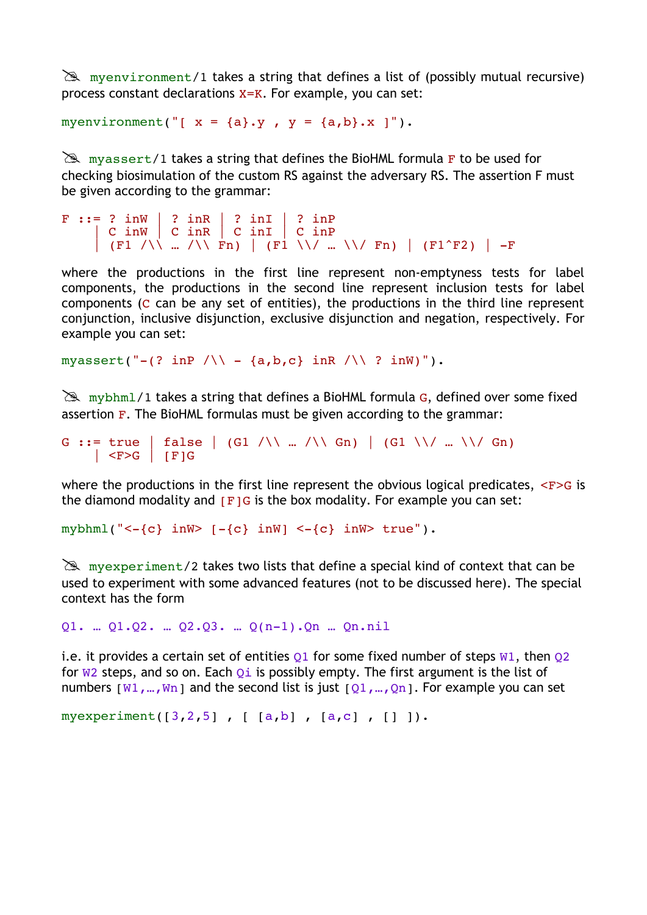$\geq$  myenvironment/1 takes a string that defines a list of (possibly mutual recursive) process constant declarations X=K. For example, you can set:

myenvironment("[  $x = {a} \cdot y$  ,  $y = {a,b} \cdot x$  ]").

 $\mathbb{R}$  myassert/1 takes a string that defines the BioHML formula F to be used for checking biosimulation of the custom RS against the adversary RS. The assertion F must be given according to the grammar:

```
F ::= ? inW | ? inR | ? inI | ? inP<br>| C inW | C inR | C inI | C inP
       | C inW | C inR | C inI | C inP
       | (F1 /\\ … /\\ Fn) | (F1 \\/ … \\/ Fn) | (F1^F2) | -F
```
where the productions in the first line represent non-emptyness tests for label components, the productions in the second line represent inclusion tests for label components (C can be any set of entities), the productions in the third line represent conjunction, inclusive disjunction, exclusive disjunction and negation, respectively. For example you can set:

myassert("-(? inP  $/ \backslash \backslash$  - {a,b,c} inR  $/ \backslash \backslash$  ? inW)").

 $\mathbb{R}$  mybhml/1 takes a string that defines a BioHML formula G, defined over some fixed assertion  $F$ . The BioHML formulas must be given according to the grammar:

```
G ::= true | false | (G1 /\\ ... /\\ Gn) | (G1 \\/ ... \\/ Gn)
    |\langle F>G| | [F]G
```
where the productions in the first line represent the obvious logical predicates,  $\langle F \rangle G$  is the diamond modality and  $[Fig]$  is the box modality. For example you can set:

mybhml(" $\left\{ -\{\mathbf{c}\} \text{ inW} \right\}$  [- $\{\mathbf{c}\}$  inW]  $\left\{ -\{\mathbf{c}\} \text{ inW} \right\}$  true").

 $\mathbb{R}$  myexperiment/2 takes two lists that define a special kind of context that can be used to experiment with some advanced features (not to be discussed here). The special context has the form

Q1. … Q1.Q2. … Q2.Q3. … Q(n-1).Qn … Qn.nil

i.e. it provides a certain set of entities  $Q1$  for some fixed number of steps  $W1$ , then  $Q2$ for  $W2$  steps, and so on. Each  $Q_i$  is possibly empty. The first argument is the list of numbers  $[W1,...,Wn]$  and the second list is just  $[Q1,...,Qn]$ . For example you can set

myexperiment([3,2,5] , [ [a,b] , [a,c] , [] ]).